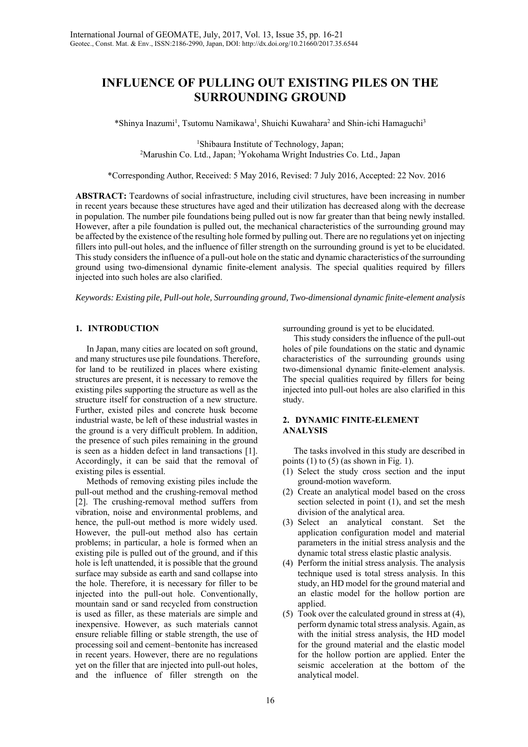# **INFLUENCE OF PULLING OUT EXISTING PILES ON THE SURROUNDING GROUND**

\*Shinya Inazumi<sup>1</sup>, Tsutomu Namikawa<sup>1</sup>, Shuichi Kuwahara<sup>2</sup> and Shin-ichi Hamaguchi<sup>3</sup>

<sup>1</sup>Shibaura Institute of Technology, Japan: <sup>1</sup>Shibaura Institute of Technology, Japan;<br><sup>2</sup>Marushin Co. Ltd., Japan; <sup>3</sup>Yokohama Wright Industries Co. Ltd., Japan<sup>3</sup>

\*Corresponding Author, Received: 5 May 2016, Revised: 7 July 2016, Accepted: 22 Nov. 2016

**ABSTRACT:** Teardowns of social infrastructure, including civil structures, have been increasing in number in recent years because these structures have aged and their utilization has decreased along with the decrease in population. The number pile foundations being pulled out is now far greater than that being newly installed. However, after a pile foundation is pulled out, the mechanical characteristics of the surrounding ground may be affected by the existence of the resulting hole formed by pulling out. There are no regulations yet on injecting fillers into pull-out holes, and the influence of filler strength on the surrounding ground is yet to be elucidated. This study considers the influence of a pull-out hole on the static and dynamic characteristics of the surrounding ground using two-dimensional dynamic finite-element analysis. The special qualities required by fillers injected into such holes are also clarified.

*Keywords: Existing pile, Pull-out hole, Surrounding ground, Two-dimensional dynamic finite-element analysis* 

## **1. INTRODUCTION**

 In Japan, many cities are located on soft ground, and many structures use pile foundations. Therefore, for land to be reutilized in places where existing structures are present, it is necessary to remove the existing piles supporting the structure as well as the structure itself for construction of a new structure. Further, existed piles and concrete husk become industrial waste, be left of these industrial wastes in the ground is a very difficult problem. In addition, the presence of such piles remaining in the ground is seen as a hidden defect in land transactions [1]. Accordingly, it can be said that the removal of existing piles is essential.

 Methods of removing existing piles include the pull-out method and the crushing-removal method [2]. The crushing-removal method suffers from vibration, noise and environmental problems, and hence, the pull-out method is more widely used. However, the pull-out method also has certain problems; in particular, a hole is formed when an existing pile is pulled out of the ground, and if this hole is left unattended, it is possible that the ground surface may subside as earth and sand collapse into the hole. Therefore, it is necessary for filler to be injected into the pull-out hole. Conventionally, mountain sand or sand recycled from construction is used as filler, as these materials are simple and inexpensive. However, as such materials cannot ensure reliable filling or stable strength, the use of processing soil and cement–bentonite has increased in recent years. However, there are no regulations yet on the filler that are injected into pull-out holes, and the influence of filler strength on the

surrounding ground is yet to be elucidated.

 This study considers the influence of the pull-out holes of pile foundations on the static and dynamic characteristics of the surrounding grounds using two-dimensional dynamic finite-element analysis. The special qualities required by fillers for being injected into pull-out holes are also clarified in this study.

# **2. DYNAMIC FINITE-ELEMENT ANALYSIS**

 The tasks involved in this study are described in points  $(1)$  to  $(5)$  (as shown in Fig. 1).

- (1) Select the study cross section and the input ground-motion waveform.
- (2) Create an analytical model based on the cross section selected in point (1), and set the mesh division of the analytical area.
- (3) Select an analytical constant. Set the application configuration model and material parameters in the initial stress analysis and the dynamic total stress elastic plastic analysis.
- (4) Perform the initial stress analysis. The analysis technique used is total stress analysis. In this study, an HD model for the ground material and an elastic model for the hollow portion are applied.
- (5) Took over the calculated ground in stress at (4), perform dynamic total stress analysis. Again, as with the initial stress analysis, the HD model for the ground material and the elastic model for the hollow portion are applied. Enter the seismic acceleration at the bottom of the analytical model.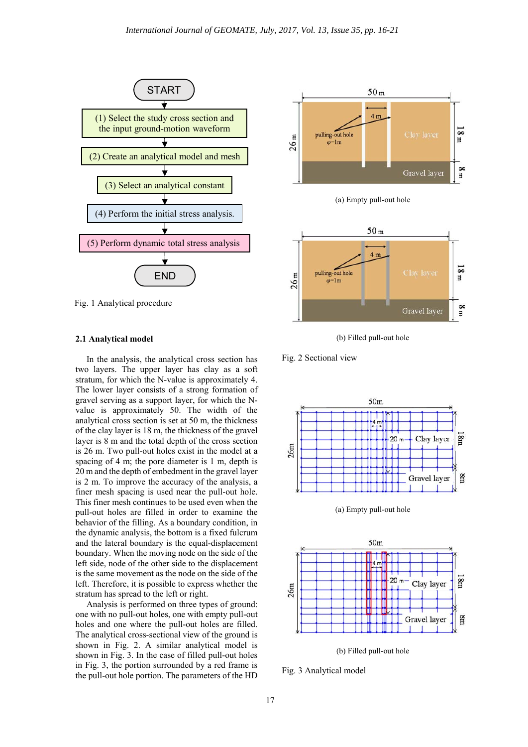

Fig. 1 Analytical procedure

#### **2.1 Analytical model**

 In the analysis, the analytical cross section has two layers. The upper layer has clay as a soft stratum, for which the N-value is approximately 4. The lower layer consists of a strong formation of gravel serving as a support layer, for which the Nvalue is approximately 50. The width of the analytical cross section is set at 50 m, the thickness of the clay layer is 18 m, the thickness of the gravel layer is 8 m and the total depth of the cross section is 26 m. Two pull-out holes exist in the model at a spacing of 4 m; the pore diameter is 1 m, depth is 20 m and the depth of embedment in the gravel layer is 2 m. To improve the accuracy of the analysis, a finer mesh spacing is used near the pull-out hole. This finer mesh continues to be used even when the pull-out holes are filled in order to examine the behavior of the filling. As a boundary condition, in the dynamic analysis, the bottom is a fixed fulcrum and the lateral boundary is the equal-displacement boundary. When the moving node on the side of the left side, node of the other side to the displacement is the same movement as the node on the side of the left. Therefore, it is possible to express whether the stratum has spread to the left or right.

 Analysis is performed on three types of ground: one with no pull-out holes, one with empty pull-out holes and one where the pull-out holes are filled. The analytical cross-sectional view of the ground is shown in Fig. 2. A similar analytical model is shown in Fig. 3. In the case of filled pull-out holes in Fig. 3, the portion surrounded by a red frame is the pull-out hole portion. The parameters of the HD



(a) Empty pull-out hole



(b) Filled pull-out hole

Fig. 2 Sectional view



(a) Empty pull-out hole



(b) Filled pull-out hole

Fig. 3 Analytical model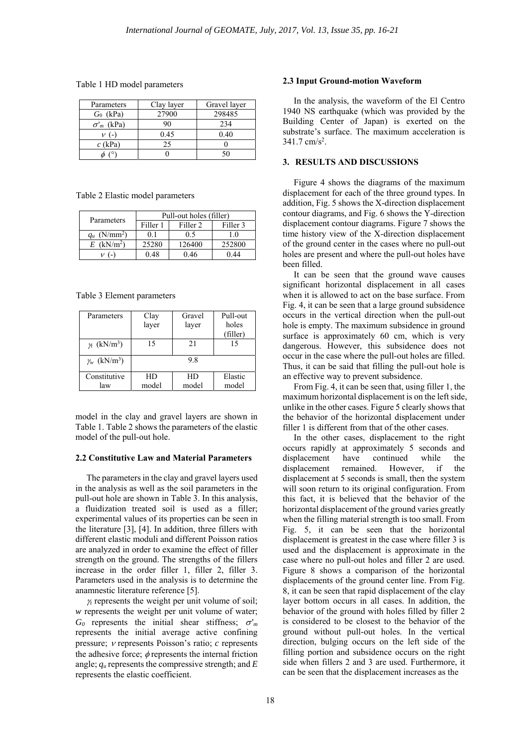Table 1 HD model parameters

| Parameters        | Clay layer | Gravel layer |
|-------------------|------------|--------------|
| $G_0$ (kPa)       | 27900      | 298485       |
| $\sigma'_m$ (kPa) | 90         | 234          |
|                   | 0.45       | 0.40         |
| $c$ (kPa)         | 25         |              |
|                   |            | ٢Λ           |

Table 2 Elastic model parameters

| Parameters                 | Pull-out holes (filler) |                     |          |  |
|----------------------------|-------------------------|---------------------|----------|--|
|                            | Filler 1                | Filler <sub>2</sub> | Filler 3 |  |
| $q_u$ (N/mm <sup>2</sup> ) |                         | 0.5                 | 1.0      |  |
| $E$ (kN/m <sup>2</sup> )   | 25280                   | 126400              | 252800   |  |
| $\sim$                     | 0 48                    | 0.46                | ገ 44     |  |

Table 3 Element parameters

| Parameters                      | Clay<br>layer | Gravel<br>layer | Pull-out<br>holes<br>(filler) |
|---------------------------------|---------------|-----------------|-------------------------------|
| $\gamma_t$ (kN/m <sup>3</sup> ) | 15            | 21              | 15                            |
| $\gamma_w$ (kN/m <sup>3</sup> ) |               | 98              |                               |
| Constitutive<br>law             | HD<br>model   | HD<br>model     | Elastic<br>model              |

model in the clay and gravel layers are shown in Table 1. Table 2 shows the parameters of the elastic model of the pull-out hole.

#### **2.2 Constitutive Law and Material Parameters**

 The parameters in the clay and gravel layers used in the analysis as well as the soil parameters in the pull-out hole are shown in Table 3. In this analysis, a fluidization treated soil is used as a filler; experimental values of its properties can be seen in the literature [3], [4]. In addition, three fillers with different elastic moduli and different Poisson ratios are analyzed in order to examine the effect of filler strength on the ground. The strengths of the fillers increase in the order filler 1, filler 2, filler 3. Parameters used in the analysis is to determine the anamnestic literature reference [5].

 $\gamma_t$  represents the weight per unit volume of soil; *w* represents the weight per unit volume of water;  $G_0$  represents the initial shear stiffness;  $\sigma'_m$ represents the initial average active confining pressure;  $\nu$  represents Poisson's ratio;  $c$  represents the adhesive force;  $\phi$  represents the internal friction angle; *qu* represents the compressive strength; and *E* represents the elastic coefficient.

#### **2.3 Input Ground-motion Waveform**

 In the analysis, the waveform of the El Centro 1940 NS earthquake (which was provided by the Building Center of Japan) is exerted on the substrate's surface. The maximum acceleration is 341.7 cm/s<sup>2</sup>.

### **3. RESULTS AND DISCUSSIONS**

 Figure 4 shows the diagrams of the maximum displacement for each of the three ground types. In addition, Fig. 5 shows the X-direction displacement contour diagrams, and Fig. 6 shows the Y-direction displacement contour diagrams. Figure 7 shows the time history view of the X-direction displacement of the ground center in the cases where no pull-out holes are present and where the pull-out holes have been filled.

 It can be seen that the ground wave causes significant horizontal displacement in all cases when it is allowed to act on the base surface. From Fig. 4, it can be seen that a large ground subsidence occurs in the vertical direction when the pull-out hole is empty. The maximum subsidence in ground surface is approximately 60 cm, which is very dangerous. However, this subsidence does not occur in the case where the pull-out holes are filled. Thus, it can be said that filling the pull-out hole is an effective way to prevent subsidence.

 From Fig. 4, it can be seen that, using filler 1, the maximum horizontal displacement is on the left side, unlike in the other cases. Figure 5 clearly shows that the behavior of the horizontal displacement under filler 1 is different from that of the other cases.

 In the other cases, displacement to the right occurs rapidly at approximately 5 seconds and displacement have continued while the displacement remained. However, if the displacement at 5 seconds is small, then the system will soon return to its original configuration. From this fact, it is believed that the behavior of the horizontal displacement of the ground varies greatly when the filling material strength is too small. From Fig. 5, it can be seen that the horizontal displacement is greatest in the case where filler 3 is used and the displacement is approximate in the case where no pull-out holes and filler 2 are used. Figure 8 shows a comparison of the horizontal displacements of the ground center line. From Fig. 8, it can be seen that rapid displacement of the clay layer bottom occurs in all cases. In addition, the behavior of the ground with holes filled by filler 2 is considered to be closest to the behavior of the ground without pull-out holes. In the vertical direction, bulging occurs on the left side of the filling portion and subsidence occurs on the right side when fillers 2 and 3 are used. Furthermore, it can be seen that the displacement increases as the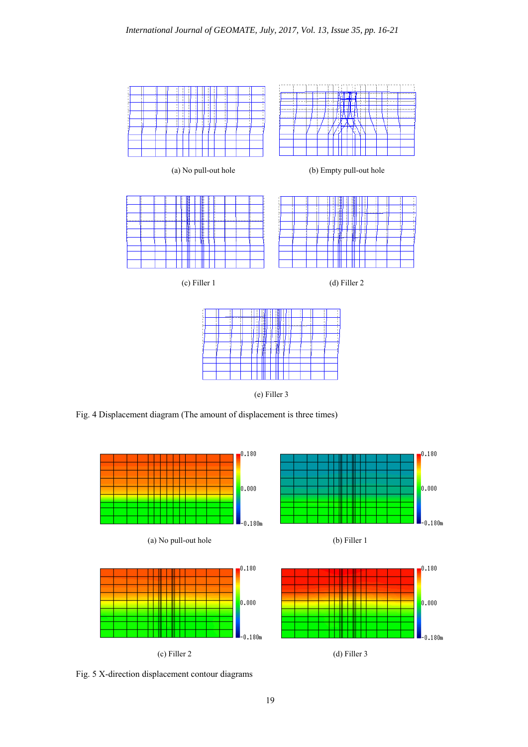

(e) Filler 3

Fig. 4 Displacement diagram (The amount of displacement is three times)



Fig. 5 X-direction displacement contour diagrams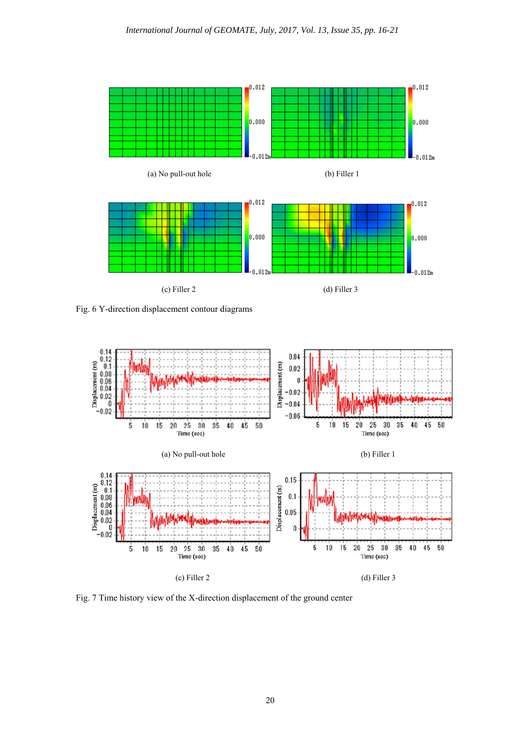

Fig. 6 Y-direction displacement contour diagrams



Fig. 7 Time history view of the X-direction displacement of the ground center